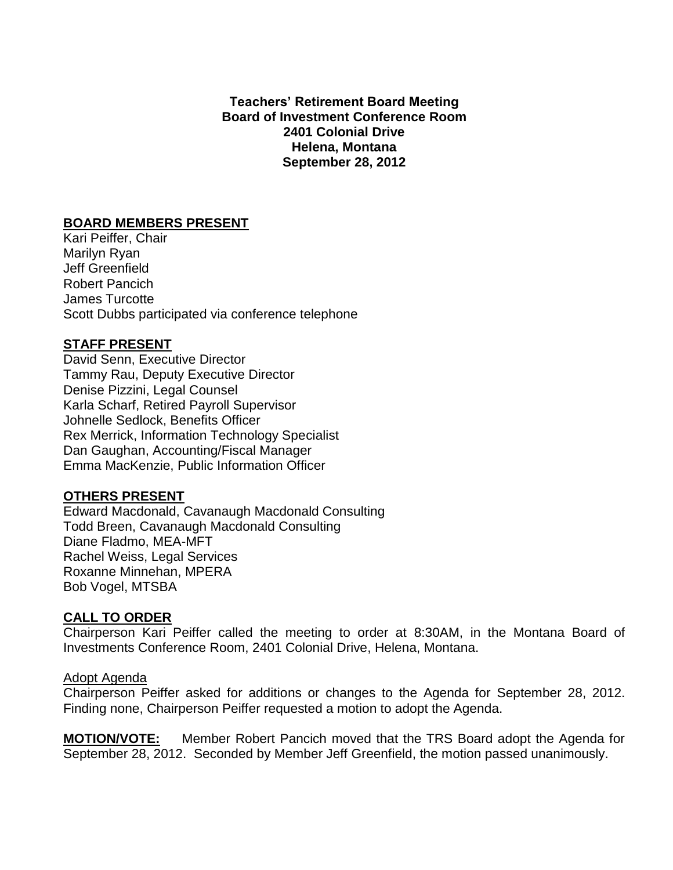**Teachers' Retirement Board Meeting Board of Investment Conference Room 2401 Colonial Drive Helena, Montana September 28, 2012**

# **BOARD MEMBERS PRESENT**

Kari Peiffer, Chair Marilyn Ryan Jeff Greenfield Robert Pancich James Turcotte Scott Dubbs participated via conference telephone

# **STAFF PRESENT**

David Senn, Executive Director Tammy Rau, Deputy Executive Director Denise Pizzini, Legal Counsel Karla Scharf, Retired Payroll Supervisor Johnelle Sedlock, Benefits Officer Rex Merrick, Information Technology Specialist Dan Gaughan, Accounting/Fiscal Manager Emma MacKenzie, Public Information Officer

# **OTHERS PRESENT**

Edward Macdonald, Cavanaugh Macdonald Consulting Todd Breen, Cavanaugh Macdonald Consulting Diane Fladmo, MEA-MFT Rachel Weiss, Legal Services Roxanne Minnehan, MPERA Bob Vogel, MTSBA

# **CALL TO ORDER**

Chairperson Kari Peiffer called the meeting to order at 8:30AM, in the Montana Board of Investments Conference Room, 2401 Colonial Drive, Helena, Montana.

### Adopt Agenda

Chairperson Peiffer asked for additions or changes to the Agenda for September 28, 2012. Finding none, Chairperson Peiffer requested a motion to adopt the Agenda.

**MOTION/VOTE:** Member Robert Pancich moved that the TRS Board adopt the Agenda for September 28, 2012. Seconded by Member Jeff Greenfield, the motion passed unanimously.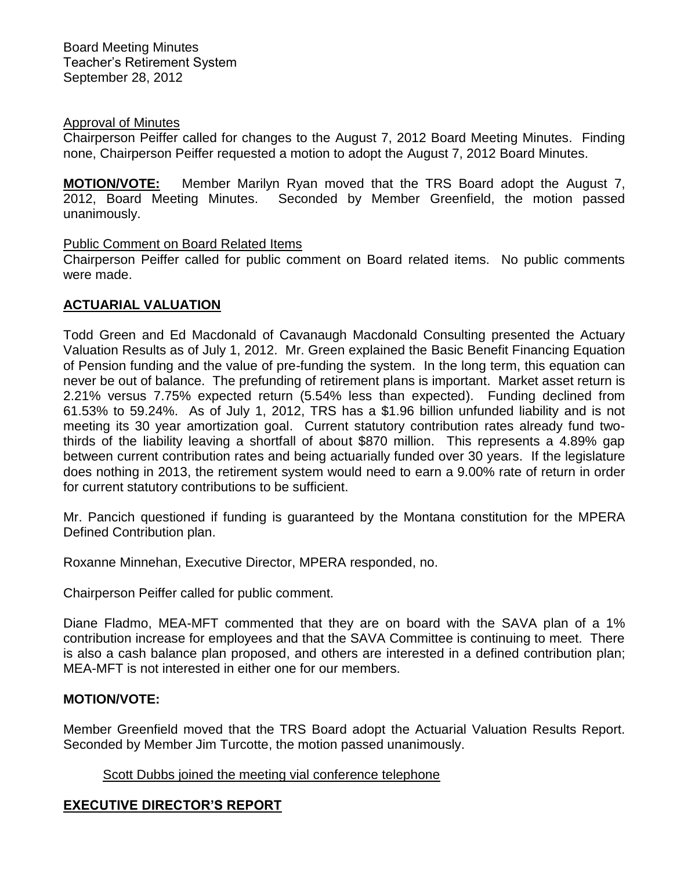## Approval of Minutes

Chairperson Peiffer called for changes to the August 7, 2012 Board Meeting Minutes. Finding none, Chairperson Peiffer requested a motion to adopt the August 7, 2012 Board Minutes.

**MOTION/VOTE:** Member Marilyn Ryan moved that the TRS Board adopt the August 7, 2012, Board Meeting Minutes. Seconded by Member Greenfield, the motion passed unanimously.

## Public Comment on Board Related Items

Chairperson Peiffer called for public comment on Board related items. No public comments were made.

# **ACTUARIAL VALUATION**

Todd Green and Ed Macdonald of Cavanaugh Macdonald Consulting presented the Actuary Valuation Results as of July 1, 2012. Mr. Green explained the Basic Benefit Financing Equation of Pension funding and the value of pre-funding the system. In the long term, this equation can never be out of balance. The prefunding of retirement plans is important. Market asset return is 2.21% versus 7.75% expected return (5.54% less than expected). Funding declined from 61.53% to 59.24%. As of July 1, 2012, TRS has a \$1.96 billion unfunded liability and is not meeting its 30 year amortization goal. Current statutory contribution rates already fund twothirds of the liability leaving a shortfall of about \$870 million. This represents a 4.89% gap between current contribution rates and being actuarially funded over 30 years. If the legislature does nothing in 2013, the retirement system would need to earn a 9.00% rate of return in order for current statutory contributions to be sufficient.

Mr. Pancich questioned if funding is guaranteed by the Montana constitution for the MPERA Defined Contribution plan.

Roxanne Minnehan, Executive Director, MPERA responded, no.

Chairperson Peiffer called for public comment.

Diane Fladmo, MEA-MFT commented that they are on board with the SAVA plan of a 1% contribution increase for employees and that the SAVA Committee is continuing to meet. There is also a cash balance plan proposed, and others are interested in a defined contribution plan; MEA-MFT is not interested in either one for our members.

# **MOTION/VOTE:**

Member Greenfield moved that the TRS Board adopt the Actuarial Valuation Results Report. Seconded by Member Jim Turcotte, the motion passed unanimously.

# Scott Dubbs joined the meeting vial conference telephone

# **EXECUTIVE DIRECTOR'S REPORT**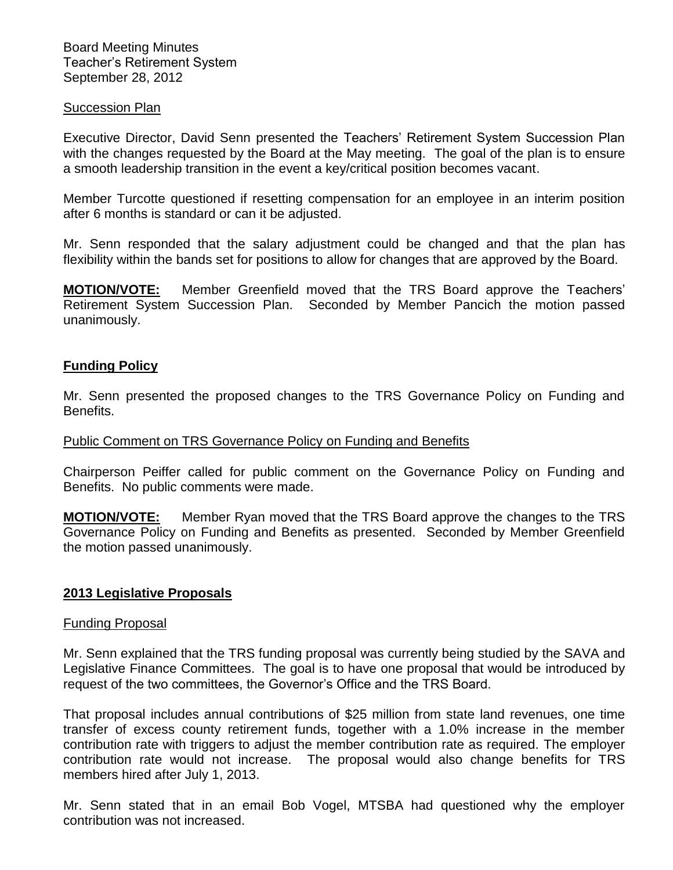### Succession Plan

Executive Director, David Senn presented the Teachers' Retirement System Succession Plan with the changes requested by the Board at the May meeting. The goal of the plan is to ensure a smooth leadership transition in the event a key/critical position becomes vacant.

Member Turcotte questioned if resetting compensation for an employee in an interim position after 6 months is standard or can it be adjusted.

Mr. Senn responded that the salary adjustment could be changed and that the plan has flexibility within the bands set for positions to allow for changes that are approved by the Board.

**MOTION/VOTE:** Member Greenfield moved that the TRS Board approve the Teachers' Retirement System Succession Plan. Seconded by Member Pancich the motion passed unanimously.

## **Funding Policy**

Mr. Senn presented the proposed changes to the TRS Governance Policy on Funding and Benefits.

### Public Comment on TRS Governance Policy on Funding and Benefits

Chairperson Peiffer called for public comment on the Governance Policy on Funding and Benefits. No public comments were made.

**MOTION/VOTE:** Member Ryan moved that the TRS Board approve the changes to the TRS Governance Policy on Funding and Benefits as presented. Seconded by Member Greenfield the motion passed unanimously.

## **2013 Legislative Proposals**

### Funding Proposal

Mr. Senn explained that the TRS funding proposal was currently being studied by the SAVA and Legislative Finance Committees. The goal is to have one proposal that would be introduced by request of the two committees, the Governor's Office and the TRS Board.

That proposal includes annual contributions of \$25 million from state land revenues, one time transfer of excess county retirement funds, together with a 1.0% increase in the member contribution rate with triggers to adjust the member contribution rate as required. The employer contribution rate would not increase. The proposal would also change benefits for TRS members hired after July 1, 2013.

Mr. Senn stated that in an email Bob Vogel, MTSBA had questioned why the employer contribution was not increased.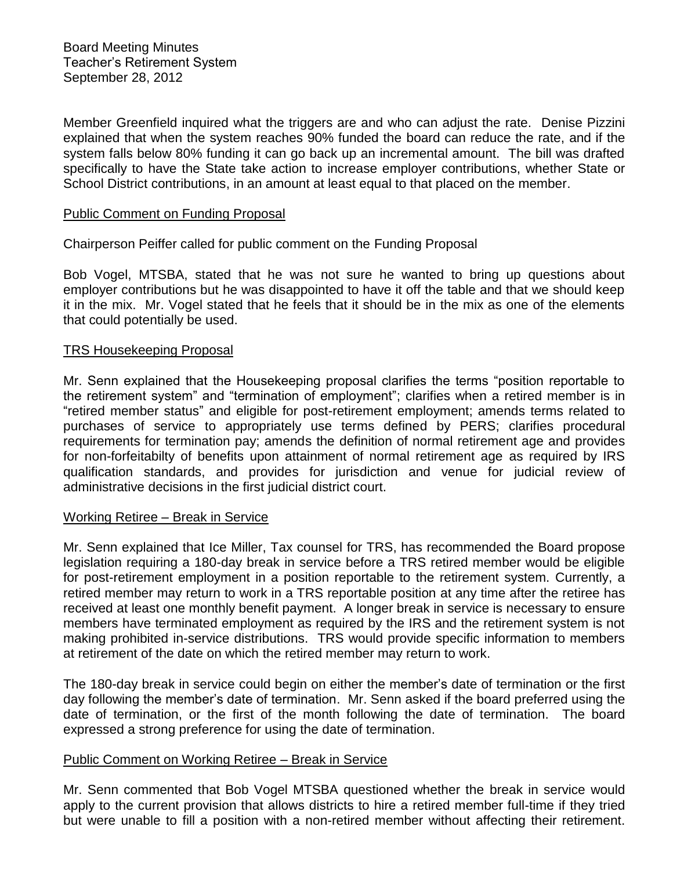Member Greenfield inquired what the triggers are and who can adjust the rate. Denise Pizzini explained that when the system reaches 90% funded the board can reduce the rate, and if the system falls below 80% funding it can go back up an incremental amount. The bill was drafted specifically to have the State take action to increase employer contributions, whether State or School District contributions, in an amount at least equal to that placed on the member.

## Public Comment on Funding Proposal

Chairperson Peiffer called for public comment on the Funding Proposal

Bob Vogel, MTSBA, stated that he was not sure he wanted to bring up questions about employer contributions but he was disappointed to have it off the table and that we should keep it in the mix. Mr. Vogel stated that he feels that it should be in the mix as one of the elements that could potentially be used.

### TRS Housekeeping Proposal

Mr. Senn explained that the Housekeeping proposal clarifies the terms "position reportable to the retirement system" and "termination of employment"; clarifies when a retired member is in "retired member status" and eligible for post-retirement employment; amends terms related to purchases of service to appropriately use terms defined by PERS; clarifies procedural requirements for termination pay; amends the definition of normal retirement age and provides for non-forfeitabilty of benefits upon attainment of normal retirement age as required by IRS qualification standards, and provides for jurisdiction and venue for judicial review of administrative decisions in the first judicial district court.

### Working Retiree – Break in Service

Mr. Senn explained that Ice Miller, Tax counsel for TRS, has recommended the Board propose legislation requiring a 180-day break in service before a TRS retired member would be eligible for post-retirement employment in a position reportable to the retirement system. Currently, a retired member may return to work in a TRS reportable position at any time after the retiree has received at least one monthly benefit payment. A longer break in service is necessary to ensure members have terminated employment as required by the IRS and the retirement system is not making prohibited in-service distributions. TRS would provide specific information to members at retirement of the date on which the retired member may return to work.

The 180-day break in service could begin on either the member's date of termination or the first day following the member's date of termination. Mr. Senn asked if the board preferred using the date of termination, or the first of the month following the date of termination. The board expressed a strong preference for using the date of termination.

### Public Comment on Working Retiree – Break in Service

Mr. Senn commented that Bob Vogel MTSBA questioned whether the break in service would apply to the current provision that allows districts to hire a retired member full-time if they tried but were unable to fill a position with a non-retired member without affecting their retirement.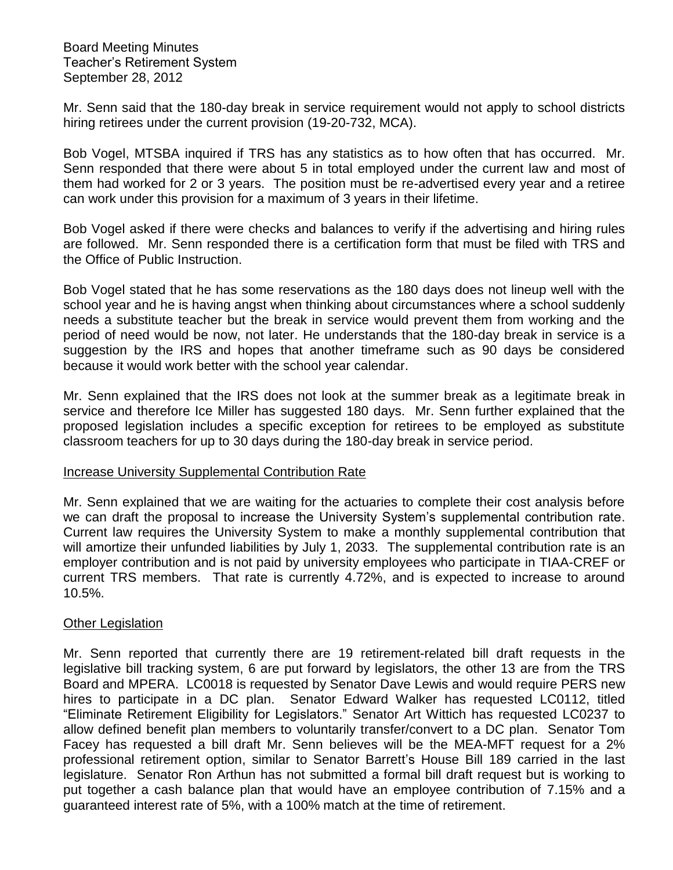Mr. Senn said that the 180-day break in service requirement would not apply to school districts hiring retirees under the current provision (19-20-732, MCA).

Bob Vogel, MTSBA inquired if TRS has any statistics as to how often that has occurred. Mr. Senn responded that there were about 5 in total employed under the current law and most of them had worked for 2 or 3 years. The position must be re-advertised every year and a retiree can work under this provision for a maximum of 3 years in their lifetime.

Bob Vogel asked if there were checks and balances to verify if the advertising and hiring rules are followed. Mr. Senn responded there is a certification form that must be filed with TRS and the Office of Public Instruction.

Bob Vogel stated that he has some reservations as the 180 days does not lineup well with the school year and he is having angst when thinking about circumstances where a school suddenly needs a substitute teacher but the break in service would prevent them from working and the period of need would be now, not later. He understands that the 180-day break in service is a suggestion by the IRS and hopes that another timeframe such as 90 days be considered because it would work better with the school year calendar.

Mr. Senn explained that the IRS does not look at the summer break as a legitimate break in service and therefore Ice Miller has suggested 180 days. Mr. Senn further explained that the proposed legislation includes a specific exception for retirees to be employed as substitute classroom teachers for up to 30 days during the 180-day break in service period.

### Increase University Supplemental Contribution Rate

Mr. Senn explained that we are waiting for the actuaries to complete their cost analysis before we can draft the proposal to increase the University System's supplemental contribution rate. Current law requires the University System to make a monthly supplemental contribution that will amortize their unfunded liabilities by July 1, 2033. The supplemental contribution rate is an employer contribution and is not paid by university employees who participate in TIAA-CREF or current TRS members. That rate is currently 4.72%, and is expected to increase to around 10.5%.

### Other Legislation

Mr. Senn reported that currently there are 19 retirement-related bill draft requests in the legislative bill tracking system, 6 are put forward by legislators, the other 13 are from the TRS Board and MPERA. LC0018 is requested by Senator Dave Lewis and would require PERS new hires to participate in a DC plan. Senator Edward Walker has requested LC0112, titled "Eliminate Retirement Eligibility for Legislators." Senator Art Wittich has requested LC0237 to allow defined benefit plan members to voluntarily transfer/convert to a DC plan. Senator Tom Facey has requested a bill draft Mr. Senn believes will be the MEA-MFT request for a 2% professional retirement option, similar to Senator Barrett's House Bill 189 carried in the last legislature. Senator Ron Arthun has not submitted a formal bill draft request but is working to put together a cash balance plan that would have an employee contribution of 7.15% and a guaranteed interest rate of 5%, with a 100% match at the time of retirement.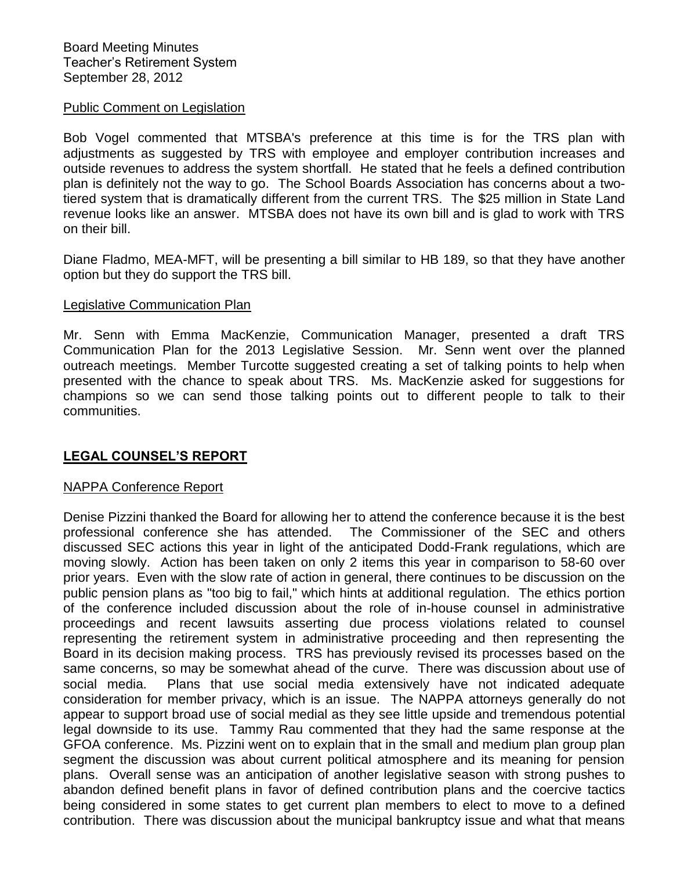## Public Comment on Legislation

Bob Vogel commented that MTSBA's preference at this time is for the TRS plan with adjustments as suggested by TRS with employee and employer contribution increases and outside revenues to address the system shortfall. He stated that he feels a defined contribution plan is definitely not the way to go. The School Boards Association has concerns about a twotiered system that is dramatically different from the current TRS. The \$25 million in State Land revenue looks like an answer. MTSBA does not have its own bill and is glad to work with TRS on their bill.

Diane Fladmo, MEA-MFT, will be presenting a bill similar to HB 189, so that they have another option but they do support the TRS bill.

### Legislative Communication Plan

Mr. Senn with Emma MacKenzie, Communication Manager, presented a draft TRS Communication Plan for the 2013 Legislative Session. Mr. Senn went over the planned outreach meetings. Member Turcotte suggested creating a set of talking points to help when presented with the chance to speak about TRS. Ms. MacKenzie asked for suggestions for champions so we can send those talking points out to different people to talk to their communities.

# **LEGAL COUNSEL'S REPORT**

# NAPPA Conference Report

Denise Pizzini thanked the Board for allowing her to attend the conference because it is the best professional conference she has attended. The Commissioner of the SEC and others discussed SEC actions this year in light of the anticipated Dodd-Frank regulations, which are moving slowly. Action has been taken on only 2 items this year in comparison to 58-60 over prior years. Even with the slow rate of action in general, there continues to be discussion on the public pension plans as "too big to fail," which hints at additional regulation. The ethics portion of the conference included discussion about the role of in-house counsel in administrative proceedings and recent lawsuits asserting due process violations related to counsel representing the retirement system in administrative proceeding and then representing the Board in its decision making process. TRS has previously revised its processes based on the same concerns, so may be somewhat ahead of the curve. There was discussion about use of social media. Plans that use social media extensively have not indicated adequate consideration for member privacy, which is an issue. The NAPPA attorneys generally do not appear to support broad use of social medial as they see little upside and tremendous potential legal downside to its use. Tammy Rau commented that they had the same response at the GFOA conference. Ms. Pizzini went on to explain that in the small and medium plan group plan segment the discussion was about current political atmosphere and its meaning for pension plans. Overall sense was an anticipation of another legislative season with strong pushes to abandon defined benefit plans in favor of defined contribution plans and the coercive tactics being considered in some states to get current plan members to elect to move to a defined contribution. There was discussion about the municipal bankruptcy issue and what that means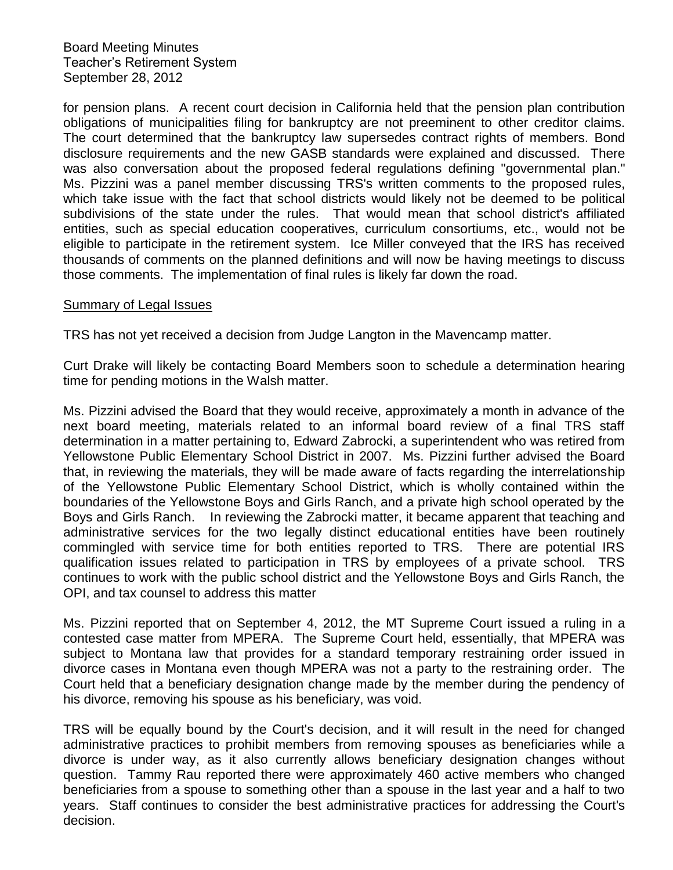for pension plans. A recent court decision in California held that the pension plan contribution obligations of municipalities filing for bankruptcy are not preeminent to other creditor claims. The court determined that the bankruptcy law supersedes contract rights of members. Bond disclosure requirements and the new GASB standards were explained and discussed. There was also conversation about the proposed federal regulations defining "governmental plan." Ms. Pizzini was a panel member discussing TRS's written comments to the proposed rules, which take issue with the fact that school districts would likely not be deemed to be political subdivisions of the state under the rules. That would mean that school district's affiliated entities, such as special education cooperatives, curriculum consortiums, etc., would not be eligible to participate in the retirement system. Ice Miller conveyed that the IRS has received thousands of comments on the planned definitions and will now be having meetings to discuss those comments. The implementation of final rules is likely far down the road.

### Summary of Legal Issues

TRS has not yet received a decision from Judge Langton in the Mavencamp matter.

Curt Drake will likely be contacting Board Members soon to schedule a determination hearing time for pending motions in the Walsh matter.

Ms. Pizzini advised the Board that they would receive, approximately a month in advance of the next board meeting, materials related to an informal board review of a final TRS staff determination in a matter pertaining to, Edward Zabrocki, a superintendent who was retired from Yellowstone Public Elementary School District in 2007. Ms. Pizzini further advised the Board that, in reviewing the materials, they will be made aware of facts regarding the interrelationship of the Yellowstone Public Elementary School District, which is wholly contained within the boundaries of the Yellowstone Boys and Girls Ranch, and a private high school operated by the Boys and Girls Ranch. In reviewing the Zabrocki matter, it became apparent that teaching and administrative services for the two legally distinct educational entities have been routinely commingled with service time for both entities reported to TRS. There are potential IRS qualification issues related to participation in TRS by employees of a private school. TRS continues to work with the public school district and the Yellowstone Boys and Girls Ranch, the OPI, and tax counsel to address this matter

Ms. Pizzini reported that on September 4, 2012, the MT Supreme Court issued a ruling in a contested case matter from MPERA. The Supreme Court held, essentially, that MPERA was subject to Montana law that provides for a standard temporary restraining order issued in divorce cases in Montana even though MPERA was not a party to the restraining order. The Court held that a beneficiary designation change made by the member during the pendency of his divorce, removing his spouse as his beneficiary, was void.

TRS will be equally bound by the Court's decision, and it will result in the need for changed administrative practices to prohibit members from removing spouses as beneficiaries while a divorce is under way, as it also currently allows beneficiary designation changes without question. Tammy Rau reported there were approximately 460 active members who changed beneficiaries from a spouse to something other than a spouse in the last year and a half to two years. Staff continues to consider the best administrative practices for addressing the Court's decision.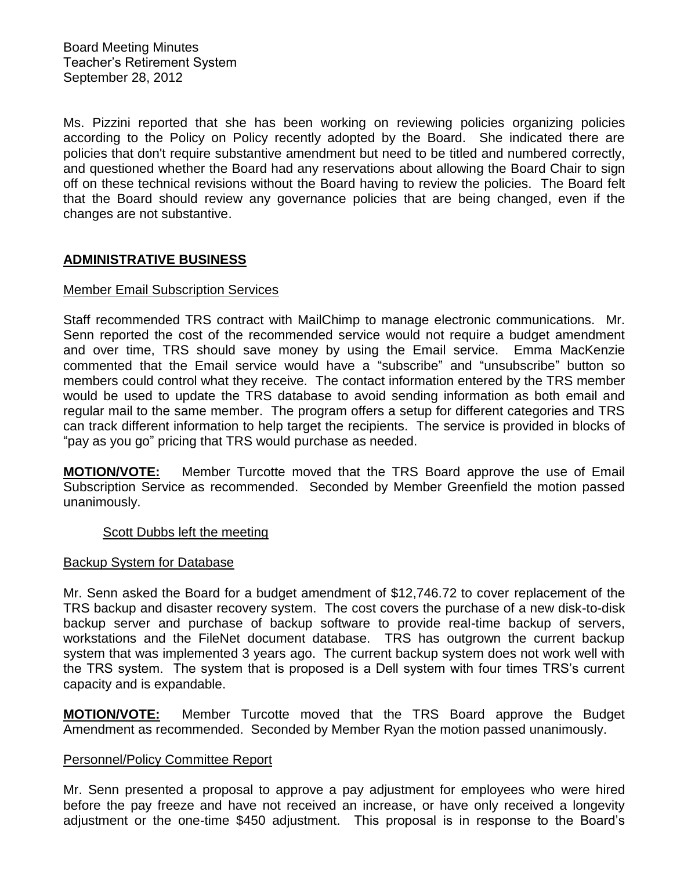Ms. Pizzini reported that she has been working on reviewing policies organizing policies according to the Policy on Policy recently adopted by the Board. She indicated there are policies that don't require substantive amendment but need to be titled and numbered correctly, and questioned whether the Board had any reservations about allowing the Board Chair to sign off on these technical revisions without the Board having to review the policies. The Board felt that the Board should review any governance policies that are being changed, even if the changes are not substantive.

# **ADMINISTRATIVE BUSINESS**

## Member Email Subscription Services

Staff recommended TRS contract with MailChimp to manage electronic communications. Mr. Senn reported the cost of the recommended service would not require a budget amendment and over time, TRS should save money by using the Email service. Emma MacKenzie commented that the Email service would have a "subscribe" and "unsubscribe" button so members could control what they receive. The contact information entered by the TRS member would be used to update the TRS database to avoid sending information as both email and regular mail to the same member. The program offers a setup for different categories and TRS can track different information to help target the recipients. The service is provided in blocks of "pay as you go" pricing that TRS would purchase as needed.

**MOTION/VOTE:** Member Turcotte moved that the TRS Board approve the use of Email Subscription Service as recommended. Seconded by Member Greenfield the motion passed unanimously.

### Scott Dubbs left the meeting

### Backup System for Database

Mr. Senn asked the Board for a budget amendment of \$12,746.72 to cover replacement of the TRS backup and disaster recovery system. The cost covers the purchase of a new disk-to-disk backup server and purchase of backup software to provide real-time backup of servers, workstations and the FileNet document database. TRS has outgrown the current backup system that was implemented 3 years ago. The current backup system does not work well with the TRS system. The system that is proposed is a Dell system with four times TRS's current capacity and is expandable.

**MOTION/VOTE:** Member Turcotte moved that the TRS Board approve the Budget Amendment as recommended. Seconded by Member Ryan the motion passed unanimously.

# Personnel/Policy Committee Report

Mr. Senn presented a proposal to approve a pay adjustment for employees who were hired before the pay freeze and have not received an increase, or have only received a longevity adjustment or the one-time \$450 adjustment. This proposal is in response to the Board's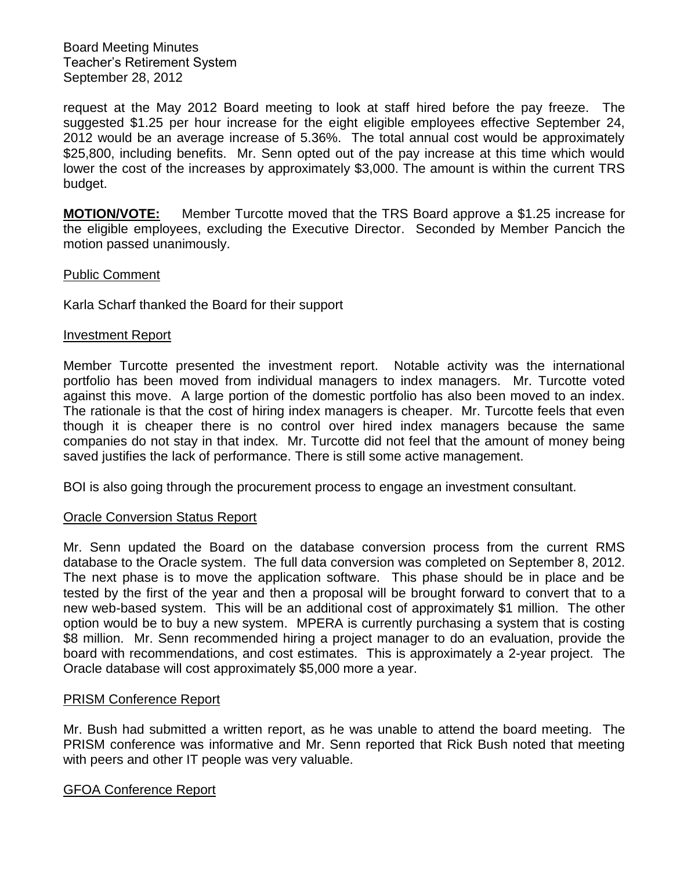request at the May 2012 Board meeting to look at staff hired before the pay freeze. The suggested \$1.25 per hour increase for the eight eligible employees effective September 24, 2012 would be an average increase of 5.36%. The total annual cost would be approximately \$25,800, including benefits. Mr. Senn opted out of the pay increase at this time which would lower the cost of the increases by approximately \$3,000. The amount is within the current TRS budget.

**MOTION/VOTE:** Member Turcotte moved that the TRS Board approve a \$1.25 increase for the eligible employees, excluding the Executive Director. Seconded by Member Pancich the motion passed unanimously.

## Public Comment

Karla Scharf thanked the Board for their support

### Investment Report

Member Turcotte presented the investment report. Notable activity was the international portfolio has been moved from individual managers to index managers. Mr. Turcotte voted against this move. A large portion of the domestic portfolio has also been moved to an index. The rationale is that the cost of hiring index managers is cheaper. Mr. Turcotte feels that even though it is cheaper there is no control over hired index managers because the same companies do not stay in that index. Mr. Turcotte did not feel that the amount of money being saved justifies the lack of performance. There is still some active management.

BOI is also going through the procurement process to engage an investment consultant.

### Oracle Conversion Status Report

Mr. Senn updated the Board on the database conversion process from the current RMS database to the Oracle system. The full data conversion was completed on September 8, 2012. The next phase is to move the application software. This phase should be in place and be tested by the first of the year and then a proposal will be brought forward to convert that to a new web-based system. This will be an additional cost of approximately \$1 million. The other option would be to buy a new system. MPERA is currently purchasing a system that is costing \$8 million. Mr. Senn recommended hiring a project manager to do an evaluation, provide the board with recommendations, and cost estimates. This is approximately a 2-year project. The Oracle database will cost approximately \$5,000 more a year.

### PRISM Conference Report

Mr. Bush had submitted a written report, as he was unable to attend the board meeting. The PRISM conference was informative and Mr. Senn reported that Rick Bush noted that meeting with peers and other IT people was very valuable.

### GFOA Conference Report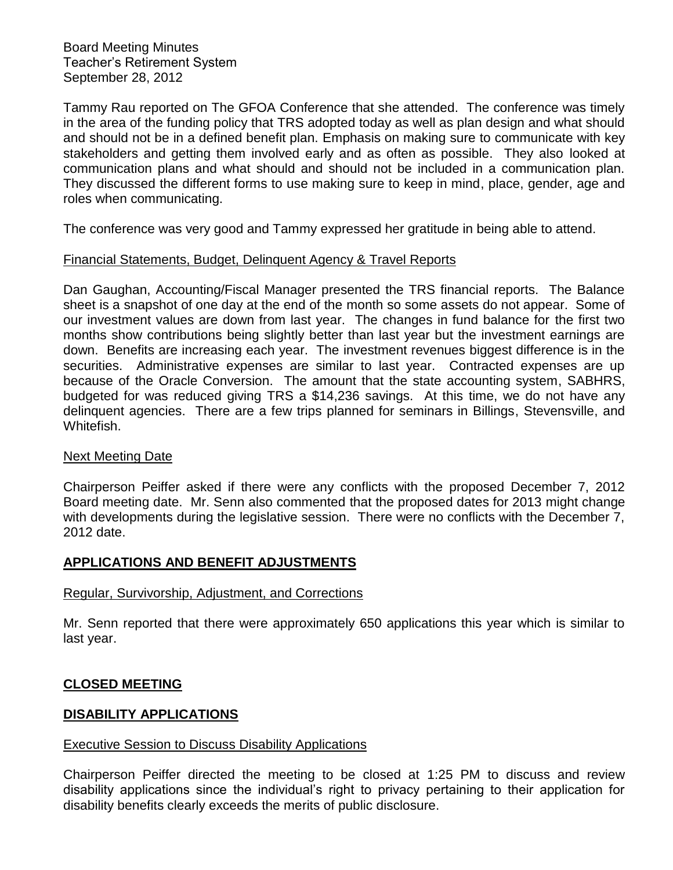Tammy Rau reported on The GFOA Conference that she attended. The conference was timely in the area of the funding policy that TRS adopted today as well as plan design and what should and should not be in a defined benefit plan. Emphasis on making sure to communicate with key stakeholders and getting them involved early and as often as possible. They also looked at communication plans and what should and should not be included in a communication plan. They discussed the different forms to use making sure to keep in mind, place, gender, age and roles when communicating.

The conference was very good and Tammy expressed her gratitude in being able to attend.

# Financial Statements, Budget, Delinquent Agency & Travel Reports

Dan Gaughan, Accounting/Fiscal Manager presented the TRS financial reports. The Balance sheet is a snapshot of one day at the end of the month so some assets do not appear. Some of our investment values are down from last year. The changes in fund balance for the first two months show contributions being slightly better than last year but the investment earnings are down. Benefits are increasing each year. The investment revenues biggest difference is in the securities. Administrative expenses are similar to last year. Contracted expenses are up because of the Oracle Conversion. The amount that the state accounting system, SABHRS, budgeted for was reduced giving TRS a \$14,236 savings. At this time, we do not have any delinquent agencies. There are a few trips planned for seminars in Billings, Stevensville, and Whitefish.

# Next Meeting Date

Chairperson Peiffer asked if there were any conflicts with the proposed December 7, 2012 Board meeting date. Mr. Senn also commented that the proposed dates for 2013 might change with developments during the legislative session. There were no conflicts with the December 7, 2012 date.

# **APPLICATIONS AND BENEFIT ADJUSTMENTS**

# Regular, Survivorship, Adjustment, and Corrections

Mr. Senn reported that there were approximately 650 applications this year which is similar to last year.

# **CLOSED MEETING**

# **DISABILITY APPLICATIONS**

# Executive Session to Discuss Disability Applications

Chairperson Peiffer directed the meeting to be closed at 1:25 PM to discuss and review disability applications since the individual's right to privacy pertaining to their application for disability benefits clearly exceeds the merits of public disclosure.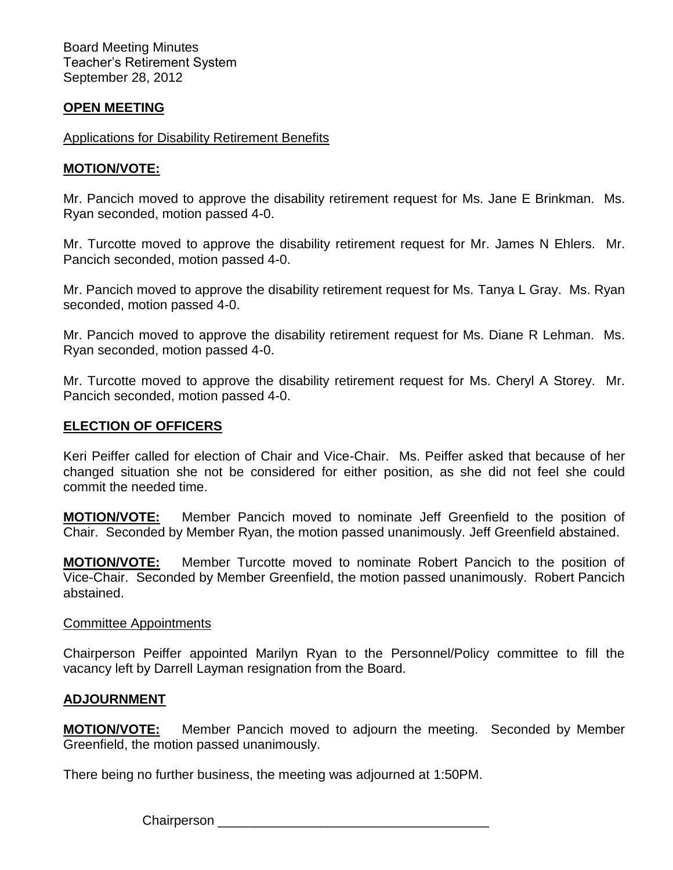# **OPEN MEETING**

## Applications for Disability Retirement Benefits

## **MOTION/VOTE:**

Mr. Pancich moved to approve the disability retirement request for Ms. Jane E Brinkman. Ms. Ryan seconded, motion passed 4-0.

Mr. Turcotte moved to approve the disability retirement request for Mr. James N Ehlers. Mr. Pancich seconded, motion passed 4-0.

Mr. Pancich moved to approve the disability retirement request for Ms. Tanya L Gray. Ms. Ryan seconded, motion passed 4-0.

Mr. Pancich moved to approve the disability retirement request for Ms. Diane R Lehman. Ms. Ryan seconded, motion passed 4-0.

Mr. Turcotte moved to approve the disability retirement request for Ms. Cheryl A Storey. Mr. Pancich seconded, motion passed 4-0.

### **ELECTION OF OFFICERS**

Keri Peiffer called for election of Chair and Vice-Chair. Ms. Peiffer asked that because of her changed situation she not be considered for either position, as she did not feel she could commit the needed time.

**MOTION/VOTE:** Member Pancich moved to nominate Jeff Greenfield to the position of Chair. Seconded by Member Ryan, the motion passed unanimously. Jeff Greenfield abstained.

**MOTION/VOTE:** Member Turcotte moved to nominate Robert Pancich to the position of Vice-Chair. Seconded by Member Greenfield, the motion passed unanimously. Robert Pancich abstained.

### Committee Appointments

Chairperson Peiffer appointed Marilyn Ryan to the Personnel/Policy committee to fill the vacancy left by Darrell Layman resignation from the Board.

### **ADJOURNMENT**

**MOTION/VOTE:** Member Pancich moved to adjourn the meeting. Seconded by Member Greenfield, the motion passed unanimously.

There being no further business, the meeting was adjourned at 1:50PM.

Chairperson **Example 19**